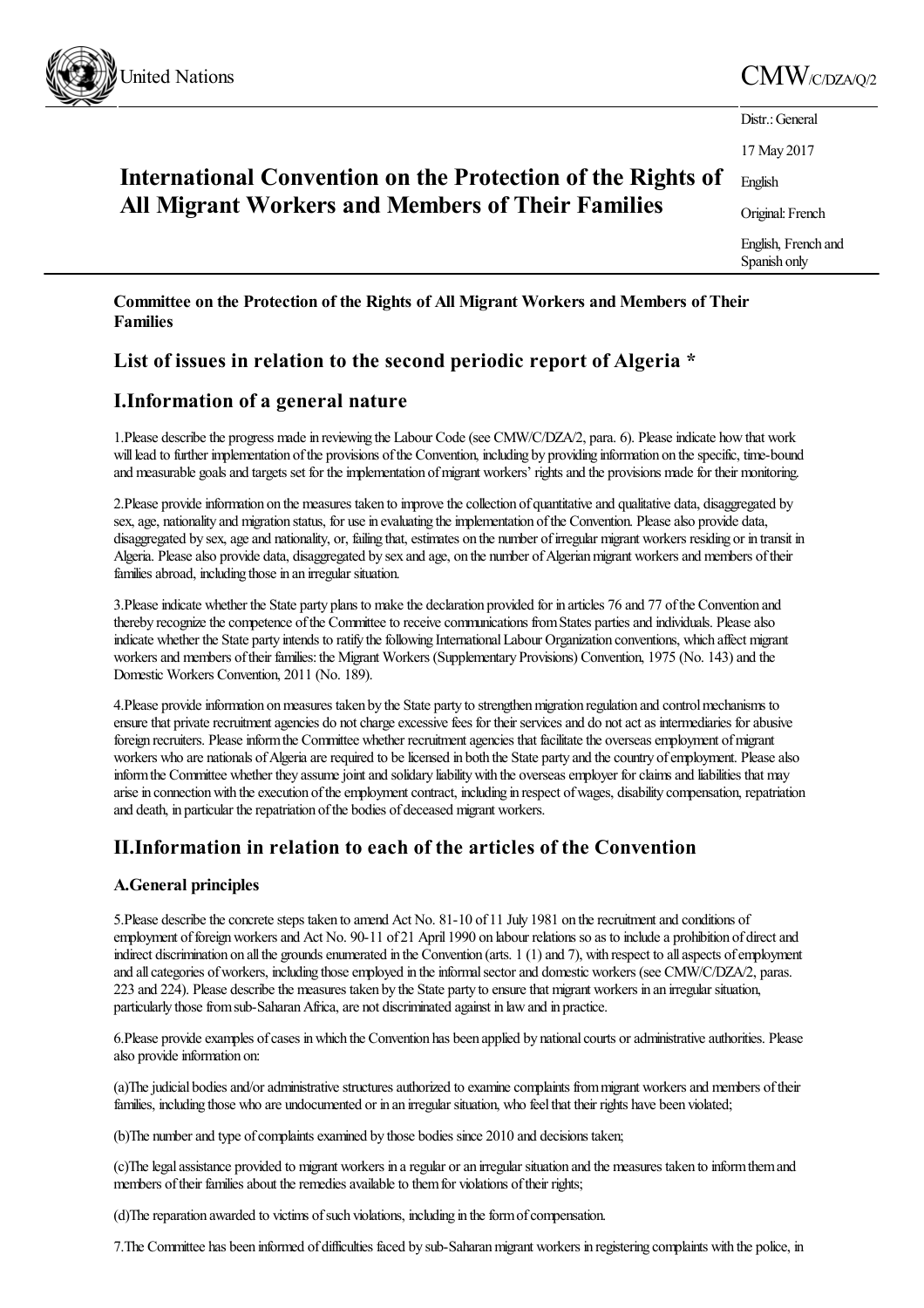

# United Nations  $\text{CMW}_{\text{CDZA/O/2}}$

| International Convention on the Protection of the Rights of<br>All Migrant Workers and Members of Their Families | Distr.: General                     |
|------------------------------------------------------------------------------------------------------------------|-------------------------------------|
|                                                                                                                  | 17 May 2017                         |
|                                                                                                                  | English                             |
|                                                                                                                  | Original: French                    |
|                                                                                                                  | English, French and<br>Spanish only |
|                                                                                                                  |                                     |

**Committee on the Protection of the Rights of All Migrant Workers and Members of Their Families**

# **List of issues in relation to the second periodic report of Algeria \***

# **I.Information of a general nature**

1.Please describe the progress made in reviewing the Labour Code (see CMW/C/DZA/2, para. 6). Please indicate how that work will lead to further implementation of the provisions of the Convention, including by providing information on the specific, time-bound and measurable goals and targets set for the implementation of migrant workers' rights and the provisions made for their monitoring.

2. Please provide information on the measures taken to improve the collection of quantitative and qualitative data, disaggregated by sex, age, nationality and migration status, for use in evaluating the implementation of the Convention. Please also provide data, disaggregated by sex, age and nationality, or, failing that, estimates on the number of irregular migrant workers residing or in transit in Algeria. Please also provide data, disaggregated by sex and age, on the number of Algerian migrant workers and members of their families abroad, including those in an irregular situation.

3. Please indicate whether the State party plans to make the declaration provided for in articles 76 and 77 of the Convention and thereby recognize the conpetence of the Committee to receive communications from States parties and individuals. Please also indicate whether the State party intends to ratify the following International Labour Organization conventions, which affect migrant workers and members of their families: the Migrant Workers (Supplementary Provisions) Convention, 1975 (No. 143) and the Domestic Workers Convention, 2011 (No. 189).

4. Please provide information on measures taken by the State party to strengthen migration regulation and control mechanisms to ensure that private recruitment agencies do not charge excessive fees for their services and do not act as intermediaries for abusive foreign recruiters. Please inform the Committee whether recruitment agencies that facilitate the overseas employment of migrant workers who are nationals of Algeria are required to be licensed in both the State party and the country of employment. Please also inform the Committee whether they assume joint and solidary liability with the overseas employer for claims and liabilities that may arise in connection with the execution of the employment contract, including in respect of wages, disability compensation, repatriation and death, in particular the repatriation of the bodies of deceased migrant workers.

# **II.Information in relation to each of the articles of the Convention**

## **A.General principles**

5. Please describe the concrete steps taken to amend Act No. 81-10 of 11 July 1981 on the recruitment and conditions of employment of foreign workers and Act No. 90-11 of 21 April 1990 on labour relations so as to include a prohibition of direct and indirect discrimination on all the grounds enumerated in the Convention (arts.  $1(1)$  and  $7$ ), with respect to all aspects of employment and all categories of workers, including those employed in the informal sector and domestic workers (see CMW/C/DZA/2, paras. 223 and 224). Please describethe measures taken by the State party to ensurethatmigrant workers in an irregular situation, particularly those from sub-Saharan Africa, are not discriminated against in law and in practice.

6.Please provide examples of cases in which the Convention has been applied by national courts or administrative authorities. Please also provide information on:

(a)The judicial bodies and/or administrative structures authorized to examine complaints from migrant workers and members of their families, including those who are undocumented or in an irregular situation, who feelthat their rights have been violated;

(b)The number and type of complaints examined by those bodies since 2010 and decisions taken;

(c)Thelegalassistance provided to migrant workers in aregular oran irregular situation and the measures taken to informthemand members of their families about the remedies available to them for violations of their rights;

(d) The reparation awarded to victims of such violations, including in the form of compensation.

7.The Committee has been informed of difficulties faced by sub-Saharanmigrant workers in registering complaints with the police, in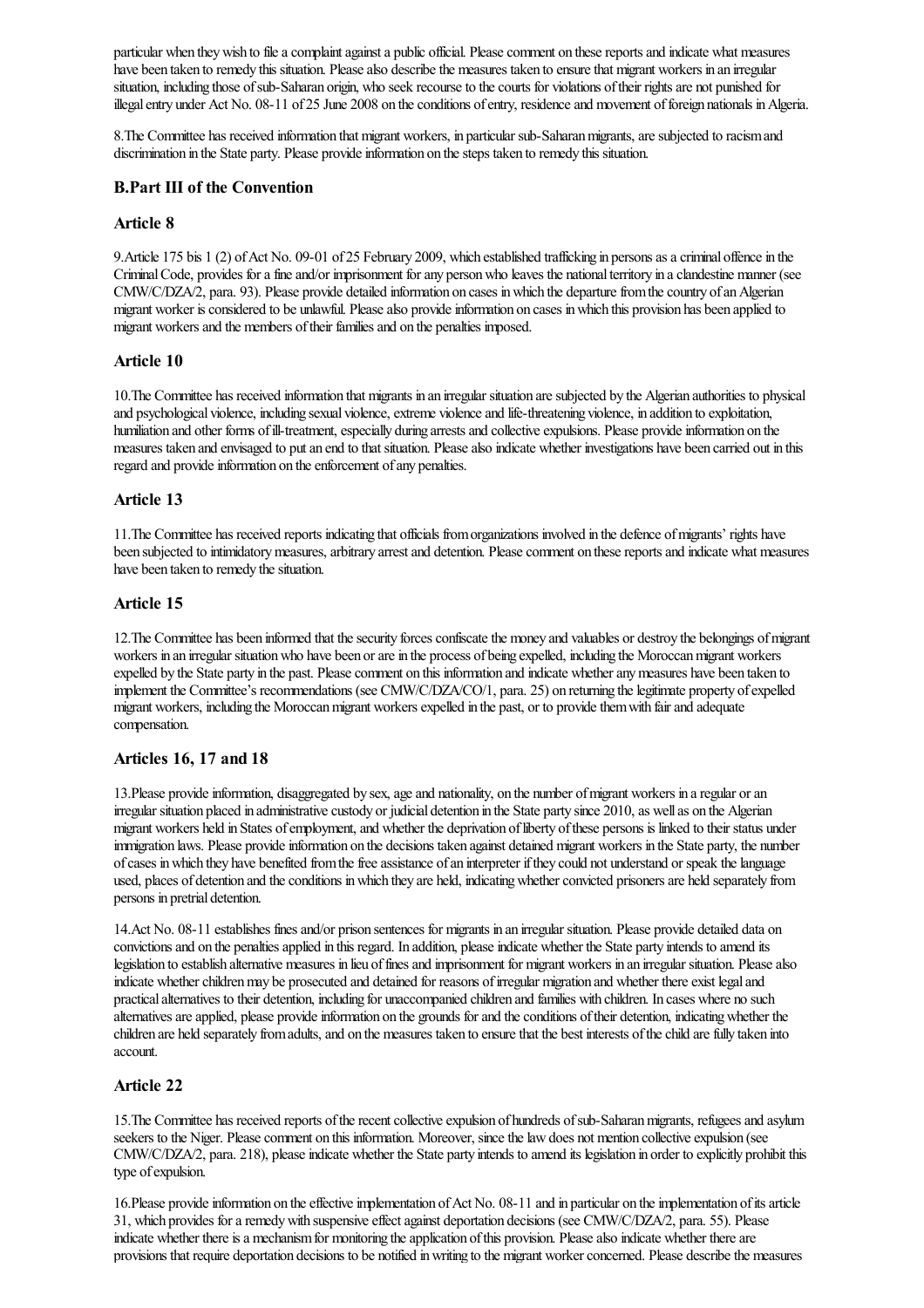particular when they wish to file a complaint against a public official. Please comment on these reports and indicate what measures have been taken to remedy this situation. Please also describe the measures taken to ensure that migrant workers in an irregular situation, including those of sub-Saharan origin, who seek recourse to the courts for violations of their rights are not punished for illegal entry under Act No. 08-11 of 25 June 2008 on the conditions of entry, residence and movement of foreign nationals in Algeria.

8. The Committee has received information that migrant workers, in particular sub-Saharan migrants, are subjected to racism and discrimination in the State party. Please provide information on the steps taken to remedy this situation.

#### **B.Part III of the Convention**

#### **Article 8**

9. Article 175 bis 1 (2) of Act No. 09-01 of 25 February 2009, which established trafficking in persons as a criminal offence in the CriminalCode, provides forafineand/or imprisonment forany personwho leaves the nationalterritory in aclandestine manner (see CMW/C/DZA/2, para. 93). Please provide detailed information on cases in which the departure from the country of an Algerian migrant worker is considered to be unlawful. Please also provide information on cases in which this provision has been applied to migrant workers and the members of their families and on the penalties imposed.

#### **Article 10**

10.The Committee has received information thatmigrants in an irregular situation aresubjected by the Algerian authorities to physical and psychological violence, including sexual violence, extreme violence and life-threatening violence, in addition to exploitation, humiliation and other forms of ill-treatment, especially during arrests and collective expulsions. Please provide information on the measures taken and envisaged to put an end to that situation. Please also indicate whether investigations have been carried out in this regard and provide information on the enforcement of any penalties.

#### **Article 13**

11.The Committee has received reports indicating that officials fromorganizations involved in the defence ofmigrants' rights have been subjected to intimidatory measures, arbitrary arrest and detention. Please comment on these reports and indicate what measures have been taken to remedy the situation.

### **Article 15**

12. The Committee has been informed that the security forces confiscate the money and valuables or destroy the belongings of migrant workers in an irregular situation who have been or are in the process of being expelled, including the Moroccan migrant workers expelled by the State party in the past. Please comment on this information and indicate whether any measures have been taken to implement the Committee's recommendations (see CMW/C/DZA/CO/1, para. 25) on returning the legitimate property of expelled migrant workers, including the Moroccan migrant workers expelled in the past, or to provide them with fair and adequate compensation.

#### **Articles 16, 17 and 18**

13. Please provide information, disaggregated by sex, age and nationality, on the number of migrant workers in a regular or an irregular situation placed in administrative custody or judicial detention in the State party since 2010, as well as on the Algerian migrant workers held in States of employment, and whether the deprivation of liberty of these persons is linked to their status under immigration laws. Please provide information on the decisions taken against detained migrant workers in the State party, the number of cases in which they have benefited from the free assistance of an interpreter if they could not understand or speak the language used, places of detention and the conditions in which they are held, indicating whether convicted prisoners are held separately from persons in pretrial detention.

14.Act No. 08-11 establishes finesand/or prison sentences for migrants in an irregular situation. Please provide detailed data on convictions and on the penalties applied in this regard. In addition, please indicate whether the State party intends to amend its legislation to establish alternative measures in lieu of fines and imprisonment for migrant workers in an irregular situation. Please also indicate whether children may be prosecuted and detained for reasons of irregular migration and whether there exist legal and practicalalternatives to their detention, including for unaccompanied children and families with children. In cases where no such alternatives are applied, please provide information on the grounds for and the conditions of their detention, indicating whether the children are held separately from adults, and on the measures taken to ensure that the best interests of the child are fully taken into account.

## **Article 22**

15. The Committee has received reports of the recent collective expulsion of hundreds of sub-Saharan migrants, refugees and asylum seekers to the Niger. Please comment on this information. Moreover, since the law does not mention collective expulsion (see CMW/C/DZA/2, para. 218), pleaseindicate whether the State party intends to amend its legislation in order to explicitly prohibit this type of expulsion.

16.Please provide information on the effective implementation of Act No. 08-11 and in particular on the implementation of its article 31, which provides foraremedywith suspensiveeffectagainst deportation decisions (see CMW/C/DZA/2, para. 55). Please indicate whether there is a mechanism for monitoring the application of this provision. Please also indicate whether there are provisions that require deportation decisions to be notified in writing to the migrant worker concerned. Please describe the measures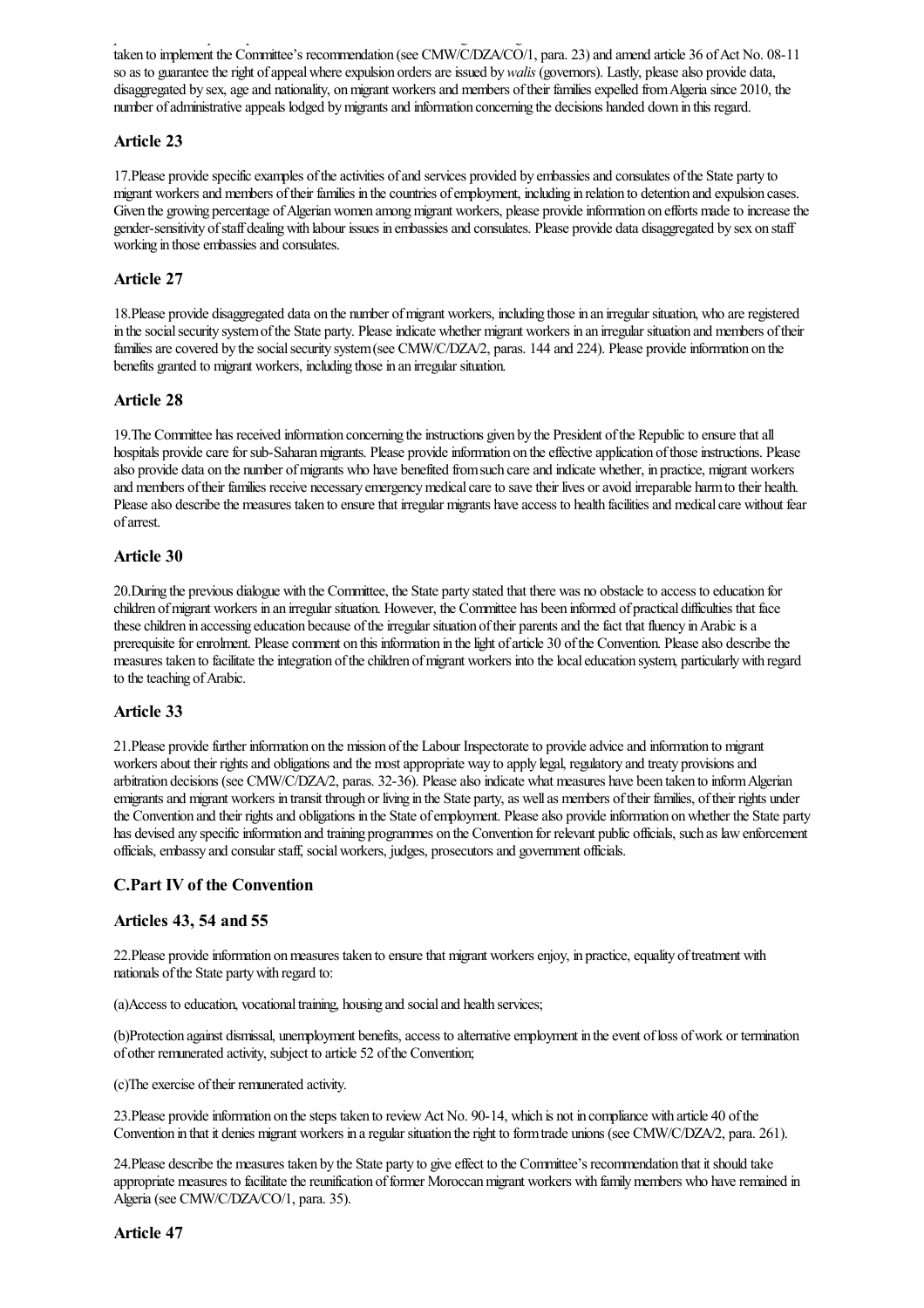provisions that require deportation decisions to be notified inwriting to the migrant workerconcerned. Please describethe measures taken to implement the Committee's recommendation (see CMW/C/DZA/CO/1, para. 23) and amend article 36 of Act No. 08-11 so as to guarantee the right of appeal where expulsion orders are issued by *walis* (governors). Lastly, please also provide data, disaggregated by sex, age and nationality, on migrant workers and members of their families expelled from Algeria since 2010, the number of administrative appeals lodged by migrants and information concerning the decisions handed down in this regard.

### **Article 23**

17. Please provide specific examples of the activities of and services provided by embassies and consulates of the State party to migrant workers and members of their families in the countries of employment, including in relation to detention and expulsion cases. Given the growing percentage of Algerian women among migrant workers, please provide information on efforts made to increase the gender-sensitivity ofstaff dealingwith labour issues in embassiesand consulates. Please provide data disaggregated by sex on staff working in those embassies and consulates.

#### **Article 27**

18. Please provide disaggregated data on the number of migrant workers, including those in an irregular situation, who are registered in the social security system of the State party. Please indicate whether migrant workers in an irregular situation and members of their families are covered by the social security system (see CMW/C/DZA/2, paras. 144 and 224). Please provide information on the benefits granted to migrant workers, including those in an irregular situation.

#### **Article 28**

19. The Committee has received information concerning the instructions given by the President of the Republic to ensure that all hospitals provide care for sub-Saharan migrants. Please provide information on the effective application of those instructions. Please also provide data on the number ofmigrants who have benefited fromsuch careand indicate whether, in practice, migrant workers and members of their families receive necessary emergency medical care to save their lives or avoid irreparable harm to their health. Please also describe the measures taken to ensure that irregular migrants have access to health facilities and medical care without fear ofarrest.

#### **Article 30**

20.During the previous dialogue with the Committee, the State party stated that there was no obstacleto access to education for children ofmigrant workers in an irregular situation. However, the Committee has been informed of practical difficulties that face these children in accessing education because of the irregular situation of their parents and the fact that fluency in Arabic is a prerequisite for enrolment. Please comment on this information in the light of article 30 of the Convention. Please also describe the measures taken to facilitate the integration of the children of migrant workers into the local education system, particularly with regard to the teaching of Arabic.

#### **Article 33**

21.Please providefurther information on the mission ofthe Labour Inspectorateto provideadviceand information to migrant workers about their rights and obligations and the most appropriate way to apply legal, regulatory and treaty provisions and arbitration decisions (see CMW/C/DZA/2, paras. 32-36). Please also indicate what measures have been taken to inform Algerian emigrants and migrant workers in transit through or living in the State party, as well as members of their families, of their rights under the Convention and their rights and obligations in the State of employment. Please also provide information on whether the State party has devised any specific information and training programmes on the Convention for relevant public officials, such as law enforcement officials, embassy and consular staff, social workers, judges, prosecutors and government officials.

#### **C.Part IV of the Convention**

#### **Articles 43, 54 and 55**

22. Please provide information on measures taken to ensure that migrant workers enjoy, in practice, equality of treatment with nationals of the State party with regard to:

(a)Access to education, vocational training, housing and social and health services;

(b)Protection against dismissal, unemployment benefits, access to alternative employment in the event of loss of work or termination of other remunerated activity, subject to article 52 ofthe Convention;

(c) The exercise of their remunerated activity.

23. Please provide information on the steps taken to review Act No. 90-14, which is not in compliance with article 40 of the Convention in that it denies migrant workers in aregular situation theright to formtrade unions (see CMW/C/DZA/2, para. 261).

24. Please describe the measures taken by the State party to give effect to the Committee's recommendation that it should take appropriate measures to facilitate the reunification of former Moroccan migrant workers with family members who have remained in Algeria(see CMW/C/DZA/CO/1, para. 35).